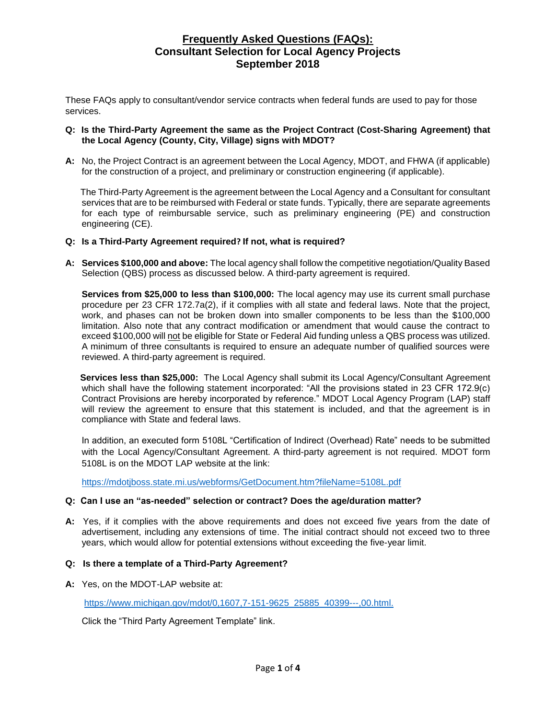These FAQs apply to consultant/vendor service contracts when federal funds are used to pay for those services.

## **Q: Is the Third-Party Agreement the same as the Project Contract (Cost-Sharing Agreement) that the Local Agency (County, City, Village) signs with MDOT?**

**A:** No, the Project Contract is an agreement between the Local Agency, MDOT, and FHWA (if applicable) for the construction of a project, and preliminary or construction engineering (if applicable).

The Third-Party Agreement is the agreement between the Local Agency and a Consultant for consultant services that are to be reimbursed with Federal or state funds. Typically, there are separate agreements for each type of reimbursable service, such as preliminary engineering (PE) and construction engineering (CE).

# **Q: Is a Third-Party Agreement required? If not, what is required?**

**A: Services \$100,000 and above:** The local agency shall follow the competitive negotiation/Quality Based Selection (QBS) process as discussed below. A third-party agreement is required.

**Services from \$25,000 to less than \$100,000:** The local agency may use its current small purchase procedure per 23 CFR 172.7a(2), if it complies with all state and federal laws. Note that the project, work, and phases can not be broken down into smaller components to be less than the \$100,000 limitation. Also note that any contract modification or amendment that would cause the contract to exceed \$100,000 will not be eligible for State or Federal Aid funding unless a QBS process was utilized. A minimum of three consultants is required to ensure an adequate number of qualified sources were reviewed. A third-party agreement is required.

**Services less than \$25,000:** The Local Agency shall submit its Local Agency/Consultant Agreement which shall have the following statement incorporated: "All the provisions stated in 23 CFR 172.9(c) Contract Provisions are hereby incorporated by reference." MDOT Local Agency Program (LAP) staff will review the agreement to ensure that this statement is included, and that the agreement is in compliance with State and federal laws.

In addition, an executed form 5108L "Certification of Indirect (Overhead) Rate" needs to be submitted with the Local Agency/Consultant Agreement. A third-party agreement is not required. MDOT form 5108L is on the MDOT LAP website at the link:

<https://mdotjboss.state.mi.us/webforms/GetDocument.htm?fileName=5108L.pdf>

# **Q: Can I use an "as-needed" selection or contract? Does the age/duration matter?**

**A:** Yes, if it complies with the above requirements and does not exceed five years from the date of advertisement, including any extensions of time. The initial contract should not exceed two to three years, which would allow for potential extensions without exceeding the five-year limit.

### **Q: Is there a template of a Third-Party Agreement?**

**A:** Yes, on the MDOT-LAP website at:

[https://www.michigan.gov/mdot/0,1607,7-151-9625\\_25885\\_40399---,00.html.](https://www.michigan.gov/mdot/0,1607,7-151-9625_25885_40399---,00.html)

Click the "Third Party Agreement Template" link.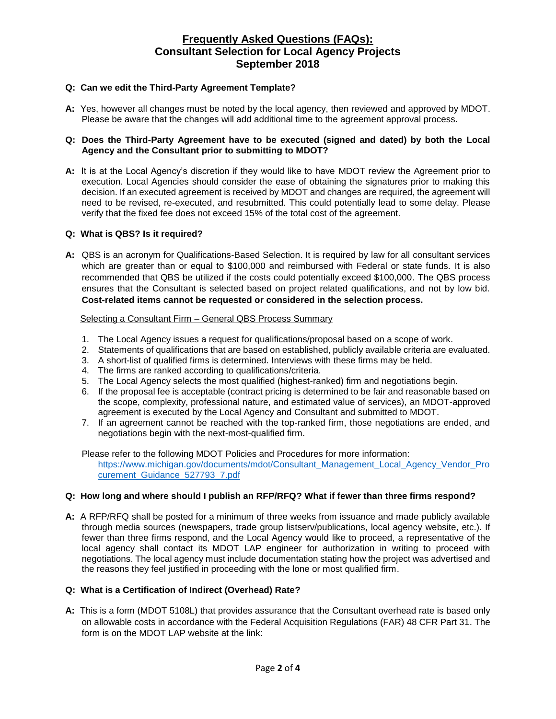## **Q: Can we edit the Third-Party Agreement Template?**

**A:** Yes, however all changes must be noted by the local agency, then reviewed and approved by MDOT. Please be aware that the changes will add additional time to the agreement approval process.

### **Q: Does the Third-Party Agreement have to be executed (signed and dated) by both the Local Agency and the Consultant prior to submitting to MDOT?**

**A:** It is at the Local Agency's discretion if they would like to have MDOT review the Agreement prior to execution. Local Agencies should consider the ease of obtaining the signatures prior to making this decision. If an executed agreement is received by MDOT and changes are required, the agreement will need to be revised, re-executed, and resubmitted. This could potentially lead to some delay. Please verify that the fixed fee does not exceed 15% of the total cost of the agreement.

### **Q: What is QBS? Is it required?**

**A:** QBS is an acronym for Qualifications-Based Selection. It is required by law for all consultant services which are greater than or equal to \$100,000 and reimbursed with Federal or state funds. It is also recommended that QBS be utilized if the costs could potentially exceed \$100,000. The QBS process ensures that the Consultant is selected based on project related qualifications, and not by low bid. **Cost-related items cannot be requested or considered in the selection process.**

### Selecting a Consultant Firm – General QBS Process Summary

- 1. The Local Agency issues a request for qualifications/proposal based on a scope of work.
- 2. Statements of qualifications that are based on established, publicly available criteria are evaluated.
- 3. A short-list of qualified firms is determined. Interviews with these firms may be held.
- 4. The firms are ranked according to qualifications/criteria.
- 5. The Local Agency selects the most qualified (highest-ranked) firm and negotiations begin.
- 6. If the proposal fee is acceptable (contract pricing is determined to be fair and reasonable based on the scope, complexity, professional nature, and estimated value of services), an MDOT-approved agreement is executed by the Local Agency and Consultant and submitted to MDOT.
- 7. If an agreement cannot be reached with the top-ranked firm, those negotiations are ended, and negotiations begin with the next-most-qualified firm.

Please refer to the following MDOT Policies and Procedures for more information: [https://www.michigan.gov/documents/mdot/Consultant\\_Management\\_Local\\_Agency\\_Vendor\\_Pro](https://www.michigan.gov/documents/mdot/Consultant_Management_Local_Agency_Vendor_Procurement_Guidance_527793_7.pdf) [curement\\_Guidance\\_527793\\_7.pdf](https://www.michigan.gov/documents/mdot/Consultant_Management_Local_Agency_Vendor_Procurement_Guidance_527793_7.pdf)

### **Q: How long and where should I publish an RFP/RFQ? What if fewer than three firms respond?**

**A:** A RFP/RFQ shall be posted for a minimum of three weeks from issuance and made publicly available through media sources (newspapers, trade group listserv/publications, local agency website, etc.). If fewer than three firms respond, and the Local Agency would like to proceed, a representative of the local agency shall contact its MDOT LAP engineer for authorization in writing to proceed with negotiations. The local agency must include documentation stating how the project was advertised and the reasons they feel justified in proceeding with the lone or most qualified firm.

# **Q: What is a Certification of Indirect (Overhead) Rate?**

**A:** This is a form (MDOT 5108L) that provides assurance that the Consultant overhead rate is based only on allowable costs in accordance with the Federal Acquisition Regulations (FAR) 48 CFR Part 31. The form is on the MDOT LAP website at the link: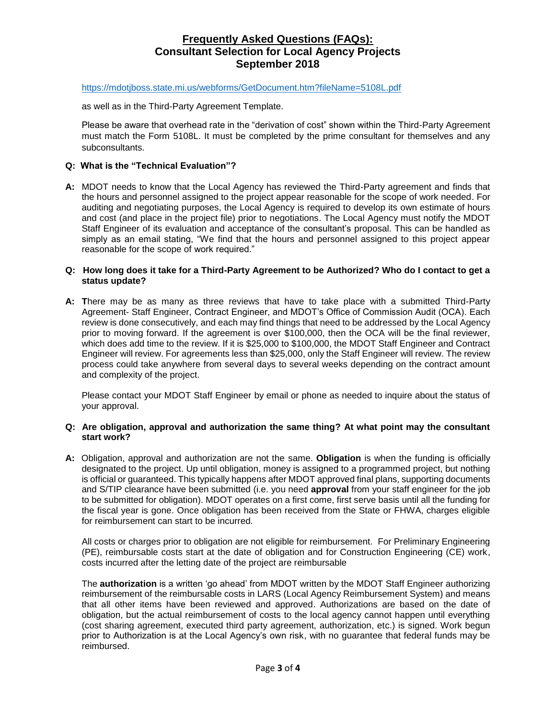#### <https://mdotjboss.state.mi.us/webforms/GetDocument.htm?fileName=5108L.pdf>

as well as in the Third-Party Agreement Template.

Please be aware that overhead rate in the "derivation of cost" shown within the Third-Party Agreement must match the Form 5108L. It must be completed by the prime consultant for themselves and any subconsultants.

### **Q: What is the "Technical Evaluation"?**

**A:** MDOT needs to know that the Local Agency has reviewed the Third-Party agreement and finds that the hours and personnel assigned to the project appear reasonable for the scope of work needed. For auditing and negotiating purposes, the Local Agency is required to develop its own estimate of hours and cost (and place in the project file) prior to negotiations. The Local Agency must notify the MDOT Staff Engineer of its evaluation and acceptance of the consultant's proposal. This can be handled as simply as an email stating, "We find that the hours and personnel assigned to this project appear reasonable for the scope of work required."

#### **Q: How long does it take for a Third-Party Agreement to be Authorized? Who do I contact to get a status update?**

**A: T**here may be as many as three reviews that have to take place with a submitted Third-Party Agreement- Staff Engineer, Contract Engineer, and MDOT's Office of Commission Audit (OCA). Each review is done consecutively, and each may find things that need to be addressed by the Local Agency prior to moving forward. If the agreement is over \$100,000, then the OCA will be the final reviewer, which does add time to the review. If it is \$25,000 to \$100,000, the MDOT Staff Engineer and Contract Engineer will review. For agreements less than \$25,000, only the Staff Engineer will review. The review process could take anywhere from several days to several weeks depending on the contract amount and complexity of the project.

Please contact your MDOT Staff Engineer by email or phone as needed to inquire about the status of your approval.

### **Q: Are obligation, approval and authorization the same thing? At what point may the consultant start work?**

**A:** Obligation, approval and authorization are not the same. **Obligation** is when the funding is officially designated to the project. Up until obligation, money is assigned to a programmed project, but nothing is official or guaranteed. This typically happens after MDOT approved final plans, supporting documents and S/TIP clearance have been submitted (i.e. you need **approval** from your staff engineer for the job to be submitted for obligation). MDOT operates on a first come, first serve basis until all the funding for the fiscal year is gone. Once obligation has been received from the State or FHWA, charges eligible for reimbursement can start to be incurred.

All costs or charges prior to obligation are not eligible for reimbursement. For Preliminary Engineering (PE), reimbursable costs start at the date of obligation and for Construction Engineering (CE) work, costs incurred after the letting date of the project are reimbursable

The **authorization** is a written 'go ahead' from MDOT written by the MDOT Staff Engineer authorizing reimbursement of the reimbursable costs in LARS (Local Agency Reimbursement System) and means that all other items have been reviewed and approved. Authorizations are based on the date of obligation, but the actual reimbursement of costs to the local agency cannot happen until everything (cost sharing agreement, executed third party agreement, authorization, etc.) is signed. Work begun prior to Authorization is at the Local Agency's own risk, with no guarantee that federal funds may be reimbursed.